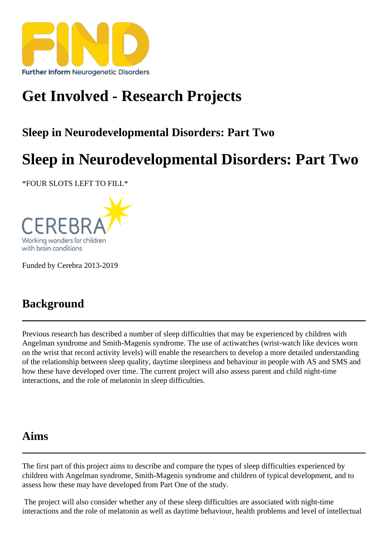# [Get Involved - Res](https://findresources.co.uk)earch Projects

Sleep in Neurodevelopmental Disorders: Part Two

## Sleep in Neurodevelopmental Disorders: Part Two

\*FOUR SLOTS LEFT TO FILL\*

Funded by Cerebra 2013-2019

#### **Background**

Previous research has described unber of sleep difficulties that may be experienced by children with Angelman syndrome and Smith-Magenis syndrome. The use of actiwatches (wrist-watch like devices worn on the wrist that record activity levels) will enable the researchers to develope a detailed understanding of the relationship between sleep quality, daytime sleepiness and behaviour in people with AS and SMS and how these have developed over time. The current project will also assess parent and thild e interactions and the role of melatoninin sleep difficulties.

#### Aims

The first part of this project aims describe and compare the types of sleep difficulties experienced by children with Angelman syndrome, Smith-Magenis syndrome and children of typical development, and to assess how these may have developed from Part One of the study.

 The project will also consider whether any of these sleep difficulties are associated with night-time interactions and the role of melatonin as well as daytime behaviour, health problems and level of intellectual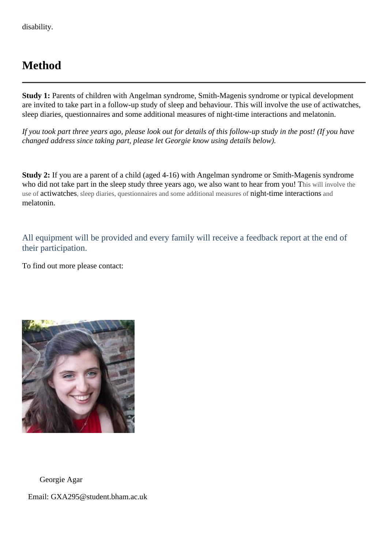### **Method**

**Study 1:** Parents of children with Angelman syndrome, Smith-Magenis syndrome or typical development are invited to take part in a follow-up study of sleep and behaviour. This will involve the use of actiwatches, sleep diaries, questionnaires and some additional measures of night-time interactions and melatonin.

*If you took part three years ago, please look out for details of this follow-up study in the post! (If you have changed address since taking part, please let Georgie know using details below).*

**Study 2:** If you are a parent of a child (aged 4-16) with Angelman syndrome or Smith-Magenis syndrome who did not take part in the sleep study three years ago, we also want to hear from you! This will involve the use of actiwatches, sleep diaries, questionnaires and some additional measures of night-time interactions and melatonin.

All equipment will be provided and every family will receive a feedback report at the end of their participation.

To find out more please contact:



Georgie Agar

Email: GXA295@student.bham.ac.uk.